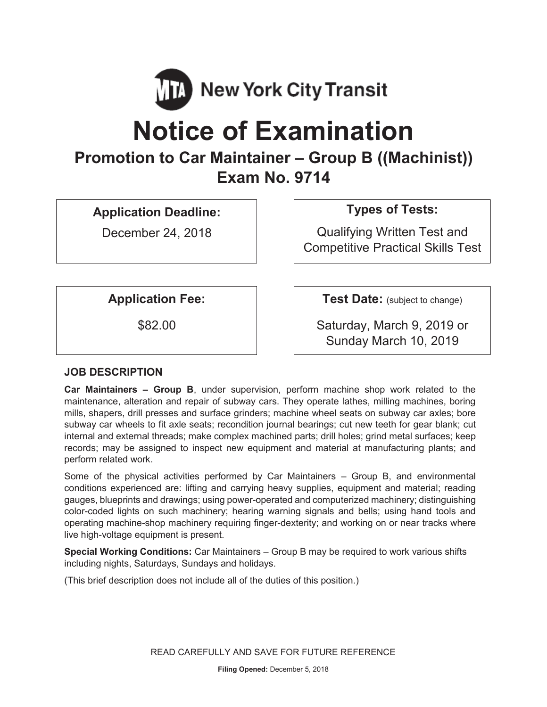

# **Notice of Examination**

## **Promotion to Car Maintainer – Group B ((Machinist)) Exam No. 9714**

**Application Deadline:** 

December 24, 2018

### **Types of Tests:**

Qualifying Written Test and Competitive Practical Skills Test

**Application Fee:**  $\vert$  **Test Date:** (subject to change)

\$82.00 Saturday, March 9, 2019 or Sunday March 10, 2019

#### **JOB DESCRIPTION**

**Car Maintainers – Group B**, under supervision, perform machine shop work related to the maintenance, alteration and repair of subway cars. They operate lathes, milling machines, boring mills, shapers, drill presses and surface grinders; machine wheel seats on subway car axles; bore subway car wheels to fit axle seats; recondition journal bearings; cut new teeth for gear blank; cut internal and external threads; make complex machined parts; drill holes; grind metal surfaces; keep records; may be assigned to inspect new equipment and material at manufacturing plants; and perform related work.

Some of the physical activities performed by Car Maintainers – Group B, and environmental conditions experienced are: lifting and carrying heavy supplies, equipment and material; reading gauges, blueprints and drawings; using power-operated and computerized machinery; distinguishing color-coded lights on such machinery; hearing warning signals and bells; using hand tools and operating machine-shop machinery requiring finger-dexterity; and working on or near tracks where live high-voltage equipment is present.

**Special Working Conditions:** Car Maintainers – Group B may be required to work various shifts including nights, Saturdays, Sundays and holidays.

(This brief description does not include all of the duties of this position.)

READ CAREFULLY AND SAVE FOR FUTURE REFERENCE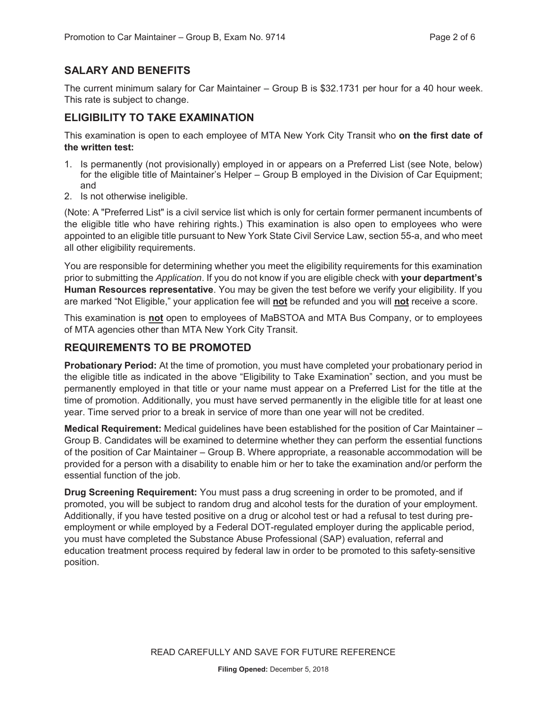#### **SALARY AND BENEFITS**

The current minimum salary for Car Maintainer – Group B is \$32.1731 per hour for a 40 hour week. This rate is subject to change.

#### **ELIGIBILITY TO TAKE EXAMINATION**

This examination is open to each employee of MTA New York City Transit who **on the first date of the written test:** 

- 1. Is permanently (not provisionally) employed in or appears on a Preferred List (see Note, below) for the eligible title of Maintainer's Helper – Group B employed in the Division of Car Equipment; and
- 2. Is not otherwise ineligible.

(Note: A "Preferred List" is a civil service list which is only for certain former permanent incumbents of the eligible title who have rehiring rights.) This examination is also open to employees who were appointed to an eligible title pursuant to New York State Civil Service Law, section 55-a, and who meet all other eligibility requirements.

You are responsible for determining whether you meet the eligibility requirements for this examination prior to submitting the *Application*. If you do not know if you are eligible check with **your department's Human Resources representative**. You may be given the test before we verify your eligibility. If you are marked "Not Eligible," your application fee will **not** be refunded and you will **not** receive a score.

This examination is **not** open to employees of MaBSTOA and MTA Bus Company, or to employees of MTA agencies other than MTA New York City Transit.

#### **REQUIREMENTS TO BE PROMOTED**

**Probationary Period:** At the time of promotion, you must have completed your probationary period in the eligible title as indicated in the above "Eligibility to Take Examination" section, and you must be permanently employed in that title or your name must appear on a Preferred List for the title at the time of promotion. Additionally, you must have served permanently in the eligible title for at least one year. Time served prior to a break in service of more than one year will not be credited.

**Medical Requirement:** Medical guidelines have been established for the position of Car Maintainer – Group B. Candidates will be examined to determine whether they can perform the essential functions of the position of Car Maintainer – Group B. Where appropriate, a reasonable accommodation will be provided for a person with a disability to enable him or her to take the examination and/or perform the essential function of the job.

**Drug Screening Requirement:** You must pass a drug screening in order to be promoted, and if promoted, you will be subject to random drug and alcohol tests for the duration of your employment. Additionally, if you have tested positive on a drug or alcohol test or had a refusal to test during preemployment or while employed by a Federal DOT-regulated employer during the applicable period, you must have completed the Substance Abuse Professional (SAP) evaluation, referral and education treatment process required by federal law in order to be promoted to this safety-sensitive position.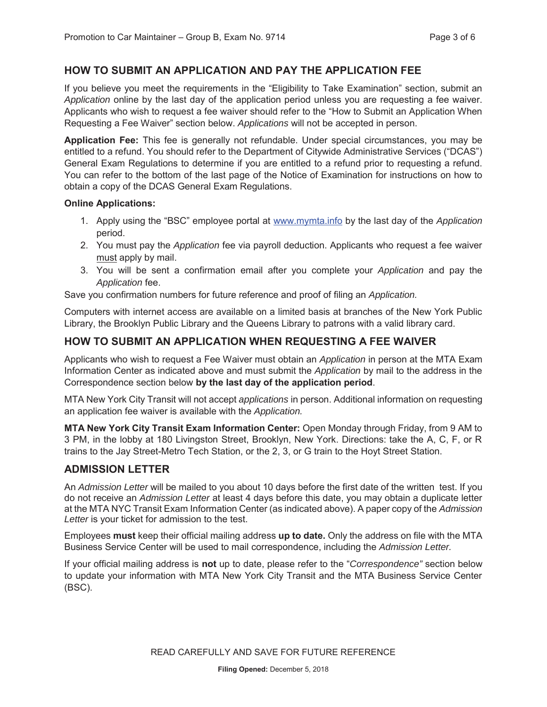#### **HOW TO SUBMIT AN APPLICATION AND PAY THE APPLICATION FEE**

If you believe you meet the requirements in the "Eligibility to Take Examination" section, submit an *Application* online by the last day of the application period unless you are requesting a fee waiver. Applicants who wish to request a fee waiver should refer to the "How to Submit an Application When Requesting a Fee Waiver" section below. *Applications* will not be accepted in person.

**Application Fee:** This fee is generally not refundable. Under special circumstances, you may be entitled to a refund. You should refer to the Department of Citywide Administrative Services ("DCAS") General Exam Regulations to determine if you are entitled to a refund prior to requesting a refund. You can refer to the bottom of the last page of the Notice of Examination for instructions on how to obtain a copy of the DCAS General Exam Regulations.

#### **Online Applications:**

- 1. Apply using the "BSC" employee portal at www.mymta.info by the last day of the *Application*  period.
- 2. You must pay the *Application* fee via payroll deduction. Applicants who request a fee waiver must apply by mail.
- 3. You will be sent a confirmation email after you complete your *Application* and pay the *Application* fee.

Save you confirmation numbers for future reference and proof of filing an *Application.*

Computers with internet access are available on a limited basis at branches of the New York Public Library, the Brooklyn Public Library and the Queens Library to patrons with a valid library card.

#### **HOW TO SUBMIT AN APPLICATION WHEN REQUESTING A FEE WAIVER**

Applicants who wish to request a Fee Waiver must obtain an *Application* in person at the MTA Exam Information Center as indicated above and must submit the *Application* by mail to the address in the Correspondence section below **by the last day of the application period**.

MTA New York City Transit will not accept *applications* in person. Additional information on requesting an application fee waiver is available with the *Application.* 

**MTA New York City Transit Exam Information Center:** Open Monday through Friday, from 9 AM to 3 PM, in the lobby at 180 Livingston Street, Brooklyn, New York. Directions: take the A, C, F, or R trains to the Jay Street-Metro Tech Station, or the 2, 3, or G train to the Hoyt Street Station.

#### **ADMISSION LETTER**

An *Admission Letter* will be mailed to you about 10 days before the first date of the written test. If you do not receive an *Admission Letter* at least 4 days before this date, you may obtain a duplicate letter at the MTA NYC Transit Exam Information Center (as indicated above). A paper copy of the *Admission Letter* is your ticket for admission to the test.

Employees **must** keep their official mailing address **up to date.** Only the address on file with the MTA Business Service Center will be used to mail correspondence, including the *Admission Letter.*

If your official mailing address is **not** up to date, please refer to the "*Correspondence"* section below to update your information with MTA New York City Transit and the MTA Business Service Center (BSC).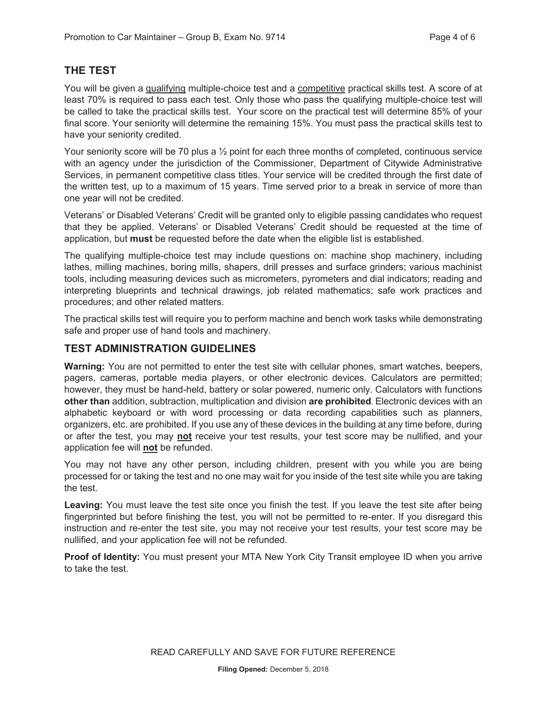#### **THE TEST**

You will be given a qualifying multiple-choice test and a competitive practical skills test. A score of at least 70% is required to pass each test. Only those who pass the qualifying multiple-choice test will be called to take the practical skills test. Your score on the practical test will determine 85% of your final score. Your seniority will determine the remaining 15%. You must pass the practical skills test to have your seniority credited.

Your seniority score will be 70 plus a 1/2 point for each three months of completed, continuous service with an agency under the jurisdiction of the Commissioner, Department of Citywide Administrative Services, in permanent competitive class titles. Your service will be credited through the first date of the written test, up to a maximum of 15 years. Time served prior to a break in service of more than one year will not be credited.

Veterans' or Disabled Veterans' Credit will be granted only to eligible passing candidates who request that they be applied. Veterans' or Disabled Veterans' Credit should be requested at the time of application, but **must** be requested before the date when the eligible list is established.

The qualifying multiple-choice test may include questions on: machine shop machinery, including lathes, milling machines, boring mills, shapers, drill presses and surface grinders; various machinist tools, including measuring devices such as micrometers, pyrometers and dial indicators; reading and interpreting blueprints and technical drawings, job related mathematics; safe work practices and procedures; and other related matters.

The practical skills test will require you to perform machine and bench work tasks while demonstrating safe and proper use of hand tools and machinery.

#### **TEST ADMINISTRATION GUIDELINES**

**Warning:** You are not permitted to enter the test site with cellular phones, smart watches, beepers, pagers, cameras, portable media players, or other electronic devices. Calculators are permitted; however, they must be hand-held, battery or solar powered, numeric only. Calculators with functions **other than** addition, subtraction, multiplication and division **are prohibited**. Electronic devices with an alphabetic keyboard or with word processing or data recording capabilities such as planners, organizers, etc. are prohibited. If you use any of these devices in the building at any time before, during or after the test, you may **not** receive your test results, your test score may be nullified, and your application fee will **not** be refunded.

You may not have any other person, including children, present with you while you are being processed for or taking the test and no one may wait for you inside of the test site while you are taking the test.

**Leaving:** You must leave the test site once you finish the test. If you leave the test site after being fingerprinted but before finishing the test, you will not be permitted to re-enter. If you disregard this instruction and re-enter the test site, you may not receive your test results, your test score may be nullified, and your application fee will not be refunded.

**Proof of Identity:** You must present your MTA New York City Transit employee ID when you arrive to take the test.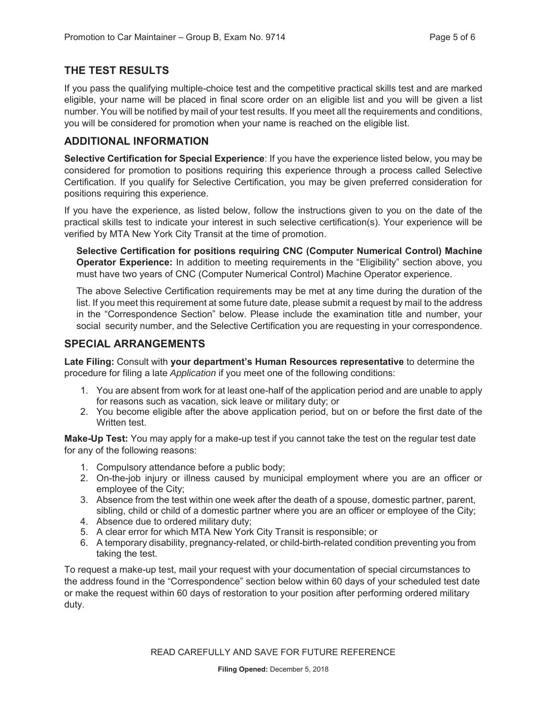#### **THE TEST RESULTS**

If you pass the qualifying multiple-choice test and the competitive practical skills test and are marked eligible, your name will be placed in final score order on an eligible list and you will be given a list number. You will be notified by mail of your test results. If you meet all the requirements and conditions, you will be considered for promotion when your name is reached on the eligible list.

#### **ADDITIONAL INFORMATION**

**Selective Certification for Special Experience**: If you have the experience listed below, you may be considered for promotion to positions requiring this experience through a process called Selective Certification. If you qualify for Selective Certification, you may be given preferred consideration for positions requiring this experience.

If you have the experience, as listed below, follow the instructions given to you on the date of the practical skills test to indicate your interest in such selective certification(s). Your experience will be verified by MTA New York City Transit at the time of promotion.

**Selective Certification for positions requiring CNC (Computer Numerical Control) Machine Operator Experience:** In addition to meeting requirements in the "Eligibility" section above, you must have two years of CNC (Computer Numerical Control) Machine Operator experience.

The above Selective Certification requirements may be met at any time during the duration of the list. If you meet this requirement at some future date, please submit a request by mail to the address in the "Correspondence Section" below. Please include the examination title and number, your social security number, and the Selective Certification you are requesting in your correspondence.

#### **SPECIAL ARRANGEMENTS**

**Late Filing:** Consult with **your department's Human Resources representative** to determine the procedure for filing a late *Application* if you meet one of the following conditions:

- 1. You are absent from work for at least one-half of the application period and are unable to apply for reasons such as vacation, sick leave or military duty; or
- 2. You become eligible after the above application period, but on or before the first date of the Written test.

**Make-Up Test:** You may apply for a make-up test if you cannot take the test on the regular test date for any of the following reasons:

- 1. Compulsory attendance before a public body;
- 2. On-the-job injury or illness caused by municipal employment where you are an officer or employee of the City;
- 3. Absence from the test within one week after the death of a spouse, domestic partner, parent, sibling, child or child of a domestic partner where you are an officer or employee of the City;
- 4. Absence due to ordered military duty;
- 5. A clear error for which MTA New York City Transit is responsible; or
- 6. A temporary disability, pregnancy-related, or child-birth-related condition preventing you from taking the test.

To request a make-up test, mail your request with your documentation of special circumstances to the address found in the "Correspondence" section below within 60 days of your scheduled test date or make the request within 60 days of restoration to your position after performing ordered military duty.